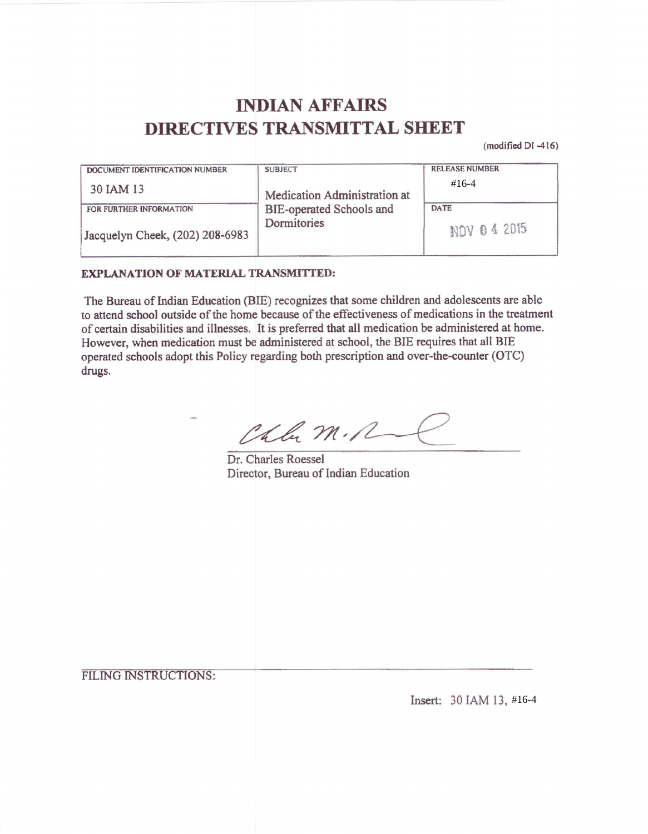# **INDIAN AFFAIRS DIRECTIVES TRANSMITTAL SHEET**

(modified DI -416)

| DOCUMENT IDENTIFICATION NUMBER                             | <b>SUBJECT</b>                          | <b>RELEASE NUMBER</b>      |
|------------------------------------------------------------|-----------------------------------------|----------------------------|
| 30 IAM 13                                                  | Medication Administration at            | $\#16-4$                   |
| FOR FURTHER INFORMATION<br>Jacquelyn Cheek, (202) 208-6983 | BIE-operated Schools and<br>Dormitories | <b>DATE</b><br>NOV 04 2015 |

#### **EXPLANATION OF MATERIAL TRANSMITTED:**

The Bureau of Indian Education (BIE) recognizes that some children and adolescents are able to attend school outside of the home because of the effectiveness of medications in the treatment of certain disabilities and illnesses. It is preferred that all medication be administered at home. However, when medication must be administered at school, the BIE requires that all BIE operated schools adopt this Policy regarding both prescription and over-the-counter (OTC) drugs.

Chla M.R

Dr. Charles Roessel Director, Bureau of Indian Education

FILING INSTRUCTIONS:

Insert: 30 IAM 13, #16-4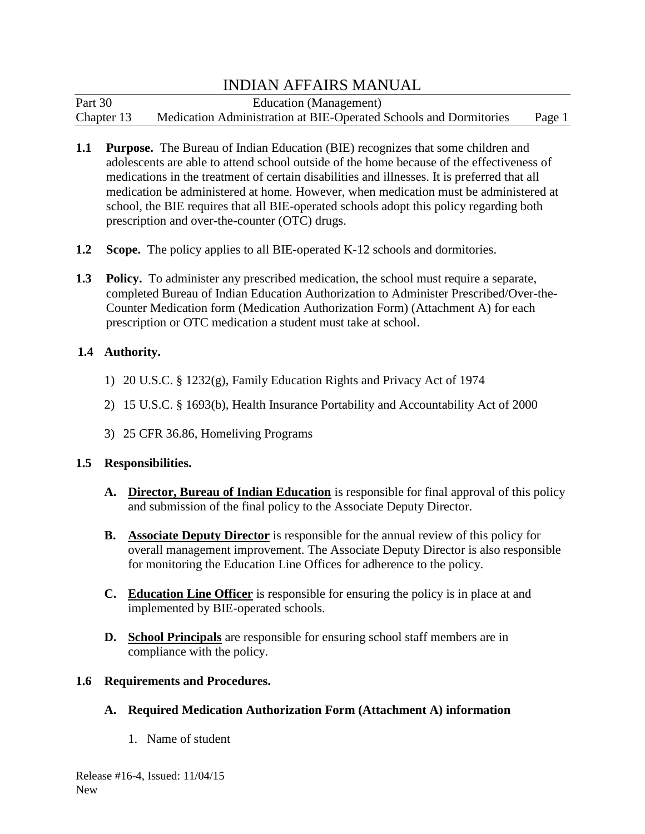| Part 30    | Education (Management)                                            |        |
|------------|-------------------------------------------------------------------|--------|
| Chapter 13 | Medication Administration at BIE-Operated Schools and Dormitories | Page 1 |

- **1.1 Purpose.** The Bureau of Indian Education (BIE) recognizes that some children and adolescents are able to attend school outside of the home because of the effectiveness of medications in the treatment of certain disabilities and illnesses. It is preferred that all medication be administered at home. However, when medication must be administered at school, the BIE requires that all BIE-operated schools adopt this policy regarding both prescription and over-the-counter (OTC) drugs.
- **1.2 Scope.** The policy applies to all BIE-operated K-12 schools and dormitories.
- **1.3 Policy.** To administer any prescribed medication, the school must require a separate, completed Bureau of Indian Education Authorization to Administer Prescribed/Over-the-Counter Medication form (Medication Authorization Form) (Attachment A) for each prescription or OTC medication a student must take at school.

#### **1.4 Authority.**

- 1) 20 U.S.C. § 1232(g), Family Education Rights and Privacy Act of 1974
- 2) 15 U.S.C. § 1693(b), Health Insurance Portability and Accountability Act of 2000
- 3) 25 CFR 36.86, Homeliving Programs

#### **1.5 Responsibilities.**

- **A. Director, Bureau of Indian Education** is responsible for final approval of this policy and submission of the final policy to the Associate Deputy Director.
- **B. Associate Deputy Director** is responsible for the annual review of this policy for overall management improvement. The Associate Deputy Director is also responsible for monitoring the Education Line Offices for adherence to the policy.
- **C. Education Line Officer** is responsible for ensuring the policy is in place at and implemented by BIE-operated schools.
- **D. School Principals** are responsible for ensuring school staff members are in compliance with the policy.

### **1.6 Requirements and Procedures.**

- **A. Required Medication Authorization Form (Attachment A) information**
	- 1. Name of student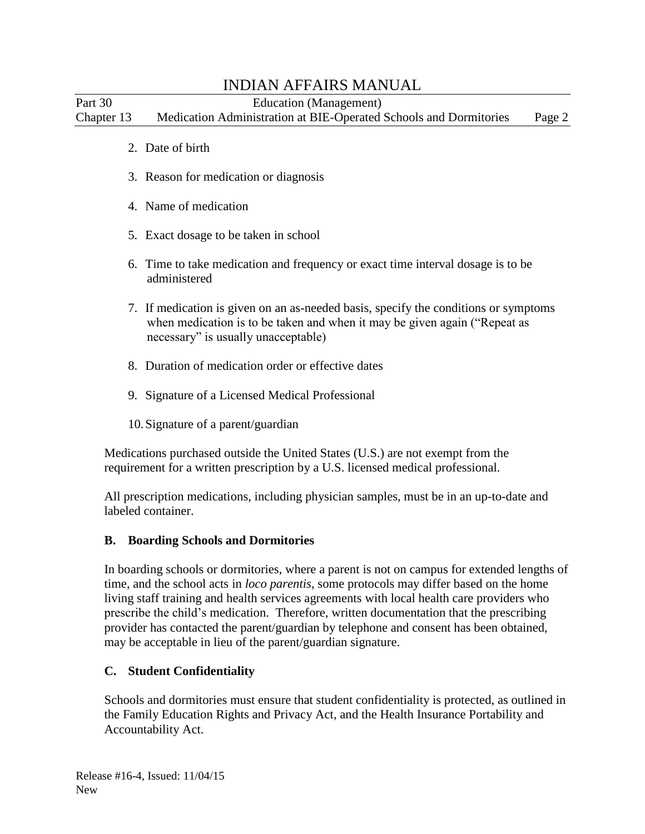Part 30 Education (Management) Chapter 13 Medication Administration at BIE-Operated Schools and Dormitories Page 2

- 2. Date of birth
- 3. Reason for medication or diagnosis
- 4. Name of medication
- 5. Exact dosage to be taken in school
- 6. Time to take medication and frequency or exact time interval dosage is to be administered
- 7. If medication is given on an as-needed basis, specify the conditions or symptoms when medication is to be taken and when it may be given again ("Repeat as necessary" is usually unacceptable)
- 8. Duration of medication order or effective dates
- 9. Signature of a Licensed Medical Professional
- 10.Signature of a parent/guardian

Medications purchased outside the United States (U.S.) are not exempt from the requirement for a written prescription by a U.S. licensed medical professional.

All prescription medications, including physician samples, must be in an up-to-date and labeled container.

#### **B. Boarding Schools and Dormitories**

In boarding schools or dormitories, where a parent is not on campus for extended lengths of time, and the school acts in *loco parentis*, some protocols may differ based on the home living staff training and health services agreements with local health care providers who prescribe the child's medication. Therefore, written documentation that the prescribing provider has contacted the parent/guardian by telephone and consent has been obtained, may be acceptable in lieu of the parent/guardian signature.

### **C. Student Confidentiality**

Schools and dormitories must ensure that student confidentiality is protected, as outlined in the Family Education Rights and Privacy Act, and the Health Insurance Portability and Accountability Act.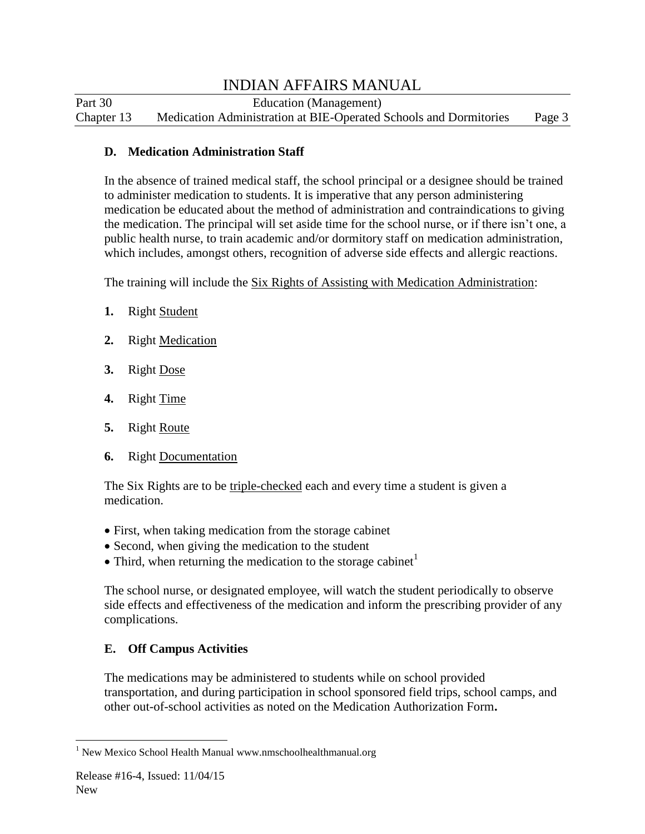Part 30 Education (Management) Chapter 13 Medication Administration at BIE-Operated Schools and Dormitories Page 3

#### **D. Medication Administration Staff**

In the absence of trained medical staff, the school principal or a designee should be trained to administer medication to students. It is imperative that any person administering medication be educated about the method of administration and contraindications to giving the medication. The principal will set aside time for the school nurse, or if there isn't one, a public health nurse, to train academic and/or dormitory staff on medication administration, which includes, amongst others, recognition of adverse side effects and allergic reactions.

The training will include the Six Rights of Assisting with Medication Administration:

- **1.** Right Student
- **2.** Right Medication
- **3.** Right Dose
- **4.** Right Time
- **5.** Right Route
- **6.** Right Documentation

The Six Rights are to be triple-checked each and every time a student is given a medication.

- First, when taking medication from the storage cabinet
- Second, when giving the medication to the student
- $\bullet$  Third, when returning the medication to the storage cabinet<sup>1</sup>

The school nurse, or designated employee, will watch the student periodically to observe side effects and effectiveness of the medication and inform the prescribing provider of any complications.

## **E. Off Campus Activities**

The medications may be administered to students while on school provided transportation, and during participation in school sponsored field trips, school camps, and other out-of-school activities as noted on the Medication Authorization Form**.**

 $\overline{a}$ <sup>1</sup> New Mexico School Health Manual www.nmschoolhealthmanual.org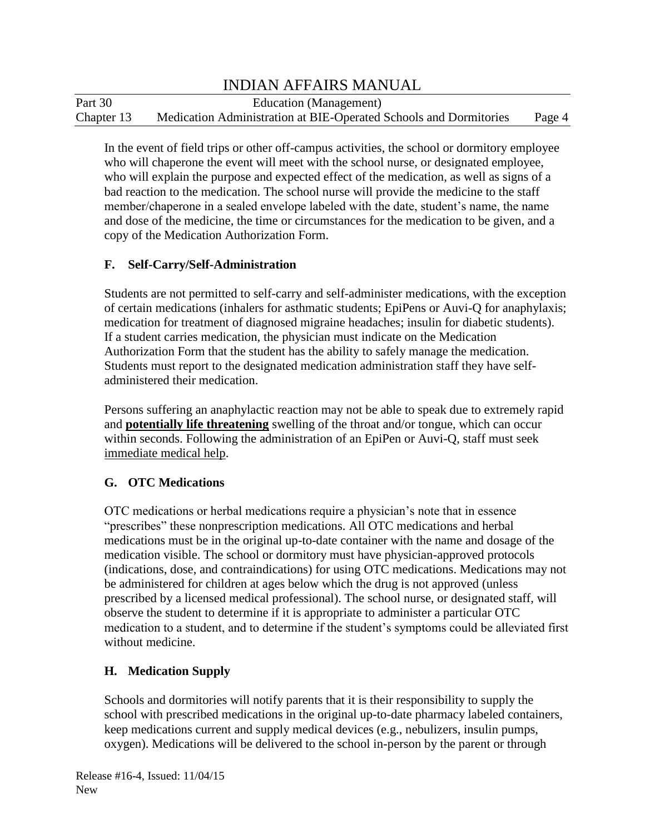Part 30 Education (Management) Chapter 13 Medication Administration at BIE-Operated Schools and Dormitories Page 4

In the event of field trips or other off-campus activities, the school or dormitory employee who will chaperone the event will meet with the school nurse, or designated employee, who will explain the purpose and expected effect of the medication, as well as signs of a bad reaction to the medication. The school nurse will provide the medicine to the staff member/chaperone in a sealed envelope labeled with the date, student's name, the name and dose of the medicine, the time or circumstances for the medication to be given, and a copy of the Medication Authorization Form.

#### **F. Self-Carry/Self-Administration**

Students are not permitted to self-carry and self-administer medications, with the exception of certain medications (inhalers for asthmatic students; EpiPens or Auvi-Q for anaphylaxis; medication for treatment of diagnosed migraine headaches; insulin for diabetic students). If a student carries medication, the physician must indicate on the Medication Authorization Form that the student has the ability to safely manage the medication. Students must report to the designated medication administration staff they have selfadministered their medication.

Persons suffering an anaphylactic reaction may not be able to speak due to extremely rapid and **potentially life threatening** swelling of the throat and/or tongue, which can occur within seconds. Following the administration of an EpiPen or Auvi-Q, staff must seek immediate medical help.

#### **G. OTC Medications**

OTC medications or herbal medications require a physician's note that in essence "prescribes" these nonprescription medications. All OTC medications and herbal medications must be in the original up-to-date container with the name and dosage of the medication visible. The school or dormitory must have physician-approved protocols (indications, dose, and contraindications) for using OTC medications. Medications may not be administered for children at ages below which the drug is not approved (unless prescribed by a licensed medical professional). The school nurse, or designated staff, will observe the student to determine if it is appropriate to administer a particular OTC medication to a student, and to determine if the student's symptoms could be alleviated first without medicine.

### **H. Medication Supply**

Schools and dormitories will notify parents that it is their responsibility to supply the school with prescribed medications in the original up-to-date pharmacy labeled containers, keep medications current and supply medical devices (e.g., nebulizers, insulin pumps, oxygen). Medications will be delivered to the school in-person by the parent or through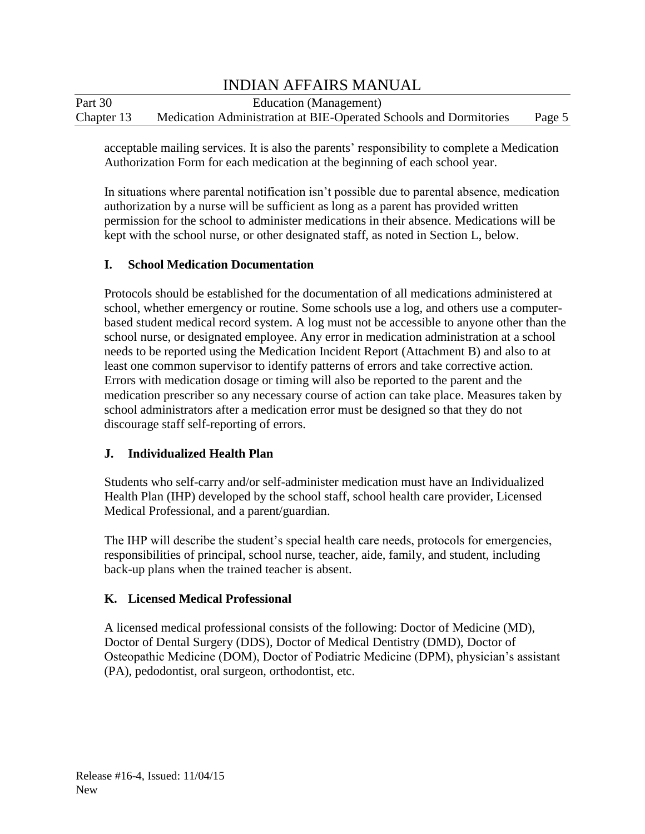| Part 30    | Education (Management)                                            |        |
|------------|-------------------------------------------------------------------|--------|
| Chapter 13 | Medication Administration at BIE-Operated Schools and Dormitories | Page 5 |

acceptable mailing services. It is also the parents' responsibility to complete a Medication Authorization Form for each medication at the beginning of each school year.

In situations where parental notification isn't possible due to parental absence, medication authorization by a nurse will be sufficient as long as a parent has provided written permission for the school to administer medications in their absence. Medications will be kept with the school nurse, or other designated staff, as noted in Section L, below.

#### **I. School Medication Documentation**

Protocols should be established for the documentation of all medications administered at school, whether emergency or routine. Some schools use a log, and others use a computerbased student medical record system. A log must not be accessible to anyone other than the school nurse, or designated employee. Any error in medication administration at a school needs to be reported using the Medication Incident Report (Attachment B) and also to at least one common supervisor to identify patterns of errors and take corrective action. Errors with medication dosage or timing will also be reported to the parent and the medication prescriber so any necessary course of action can take place. Measures taken by school administrators after a medication error must be designed so that they do not discourage staff self-reporting of errors.

#### **J. Individualized Health Plan**

Students who self-carry and/or self-administer medication must have an Individualized Health Plan (IHP) developed by the school staff, school health care provider, Licensed Medical Professional, and a parent/guardian.

The IHP will describe the student's special health care needs, protocols for emergencies, responsibilities of principal, school nurse, teacher, aide, family, and student, including back-up plans when the trained teacher is absent.

#### **K. Licensed Medical Professional**

A licensed medical professional consists of the following: Doctor of Medicine (MD), Doctor of Dental Surgery (DDS), Doctor of Medical Dentistry (DMD), Doctor of Osteopathic Medicine (DOM), Doctor of Podiatric Medicine (DPM), physician's assistant (PA), pedodontist, oral surgeon, orthodontist, etc.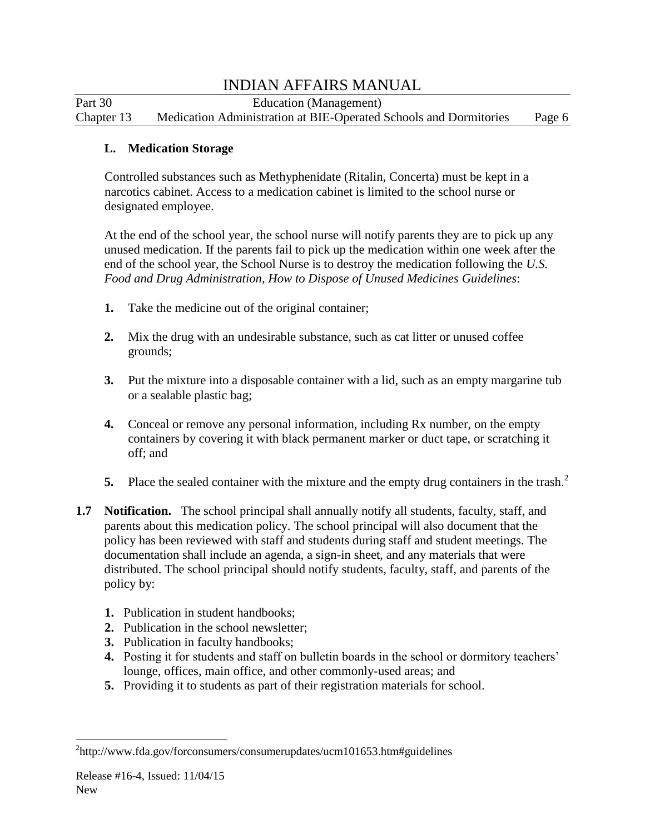Part 30 Education (Management) Chapter 13 Medication Administration at BIE-Operated Schools and Dormitories Page 6

#### **L. Medication Storage**

Controlled substances such as Methyphenidate (Ritalin, Concerta) must be kept in a narcotics cabinet. Access to a medication cabinet is limited to the school nurse or designated employee.

At the end of the school year, the school nurse will notify parents they are to pick up any unused medication. If the parents fail to pick up the medication within one week after the end of the school year, the School Nurse is to destroy the medication following the *U.S. Food and Drug Administration, How to Dispose of Unused Medicines Guidelines*:

- **1.** Take the medicine out of the original container;
- **2.** Mix the drug with an undesirable substance, such as cat litter or unused coffee grounds;
- **3.** Put the mixture into a disposable container with a lid, such as an empty margarine tub or a sealable plastic bag;
- **4.** Conceal or remove any personal information, including Rx number, on the empty containers by covering it with black permanent marker or duct tape, or scratching it off; and
- **5.** Place the sealed container with the mixture and the empty drug containers in the trash.<sup>2</sup>
- **1.7 Notification.** The school principal shall annually notify all students, faculty, staff, and parents about this medication policy. The school principal will also document that the policy has been reviewed with staff and students during staff and student meetings. The documentation shall include an agenda, a sign-in sheet, and any materials that were distributed. The school principal should notify students, faculty, staff, and parents of the policy by:
	- **1.** Publication in student handbooks;
	- **2.** Publication in the school newsletter;
	- **3.** Publication in faculty handbooks;
	- **4.** Posting it for students and staff on bulletin boards in the school or dormitory teachers' lounge, offices, main office, and other commonly-used areas; and
	- **5.** Providing it to students as part of their registration materials for school.

 $\overline{a}$ 

<sup>&</sup>lt;sup>2</sup>http://www.fda.gov/forconsumers/consumerupdates/ucm101653.htm#guidelines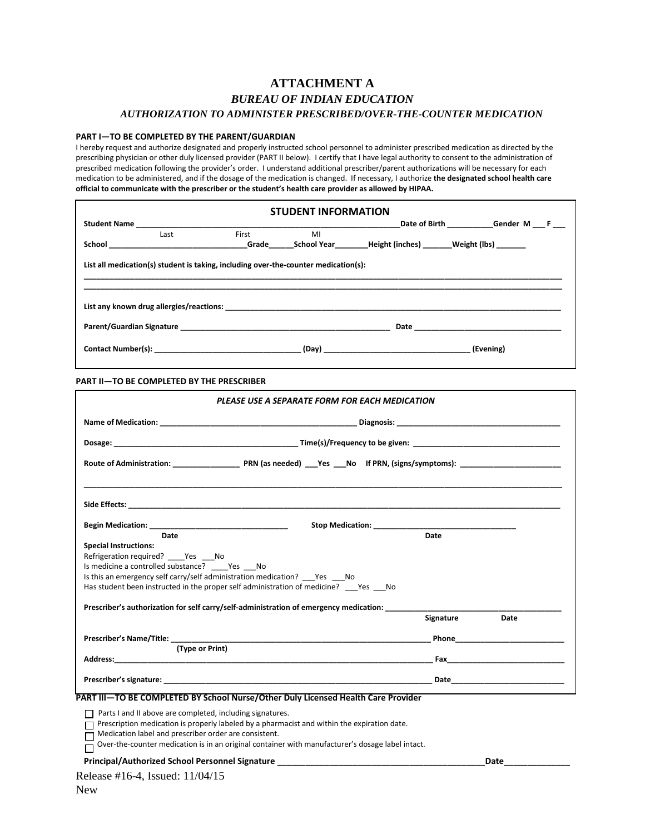#### **ATTACHMENT A** *BUREAU OF INDIAN EDUCATION AUTHORIZATION TO ADMINISTER PRESCRIBED/OVER-THE-COUNTER MEDICATION*

#### **PART I—TO BE COMPLETED BY THE PARENT/GUARDIAN**

r

I hereby request and authorize designated and properly instructed school personnel to administer prescribed medication as directed by the prescribing physician or other duly licensed provider (PART II below). I certify that I have legal authority to consent to the administration of prescribed medication following the provider's order. I understand additional prescriber/parent authorizations will be necessary for each medication to be administered, and if the dosage of the medication is changed. If necessary, I authorize **the designated school health care official to communicate with the prescriber or the student's health care provider as allowed by HIPAA.**

|      |                                                                                     | <b>STUDENT INFORMATION</b> |                                                         |
|------|-------------------------------------------------------------------------------------|----------------------------|---------------------------------------------------------|
|      |                                                                                     |                            | Date of Birth Gender M F                                |
| Last | First                                                                               | MI                         |                                                         |
|      |                                                                                     |                            | School Carelle School Year Height (inches) Weight (Ibs) |
|      | List all medication(s) student is taking, including over-the-counter medication(s): |                            |                                                         |
|      |                                                                                     |                            |                                                         |
|      |                                                                                     |                            | Date <u>_________________________</u>                   |

| <b>PART II-TO BE COMPLETED BY THE PRESCRIBER</b> |  |  |
|--------------------------------------------------|--|--|
|                                                  |  |  |

|                                                                                             | PLEASE USE A SEPARATE FORM FOR EACH MEDICATION                                                                                                                                                                                 |
|---------------------------------------------------------------------------------------------|--------------------------------------------------------------------------------------------------------------------------------------------------------------------------------------------------------------------------------|
|                                                                                             |                                                                                                                                                                                                                                |
|                                                                                             |                                                                                                                                                                                                                                |
|                                                                                             |                                                                                                                                                                                                                                |
|                                                                                             |                                                                                                                                                                                                                                |
|                                                                                             |                                                                                                                                                                                                                                |
| Date                                                                                        | Date                                                                                                                                                                                                                           |
| <b>Special Instructions:</b>                                                                |                                                                                                                                                                                                                                |
| Refrigeration required? Yes No                                                              |                                                                                                                                                                                                                                |
| Is medicine a controlled substance? Yes No                                                  |                                                                                                                                                                                                                                |
| Is this an emergency self carry/self administration medication? Yes No                      |                                                                                                                                                                                                                                |
| Has student been instructed in the proper self administration of medicine? Yes No           |                                                                                                                                                                                                                                |
|                                                                                             | Prescriber's authorization for self carry/self-administration of emergency medication: _______________________                                                                                                                 |
|                                                                                             | Signature<br>Date                                                                                                                                                                                                              |
|                                                                                             | Prescriber's Name/Title: Name and Security and Security and Security and Security and Security and Security and Security and Security and Security and Security and Security and Security and Security and Security and Securi |
| (Type or Print)                                                                             |                                                                                                                                                                                                                                |
|                                                                                             | Fax and the contract of the contract of the contract of the contract of the contract of the contract of the contract of the contract of the contract of the contract of the contract of the contract of the contract of the co |
|                                                                                             |                                                                                                                                                                                                                                |
| PART III-TO BE COMPLETED BY School Nurse/Other Duly Licensed Health Care Provider           |                                                                                                                                                                                                                                |
|                                                                                             |                                                                                                                                                                                                                                |
| Parts I and II above are completed, including signatures.                                   |                                                                                                                                                                                                                                |
| Prescription medication is properly labeled by a pharmacist and within the expiration date. |                                                                                                                                                                                                                                |

Medication label and prescriber order are consistent.

□ Over-the-counter medication is in an original container with manufacturer's dosage label intact.

#### **Principal/Authorized School Personnel Signature** \_\_\_\_\_\_\_\_\_\_\_\_\_\_\_\_\_\_\_\_\_\_\_\_\_\_\_\_\_\_\_\_\_\_\_\_\_\_\_\_\_\_\_\_**Date**\_\_\_\_\_\_\_\_\_\_\_\_\_\_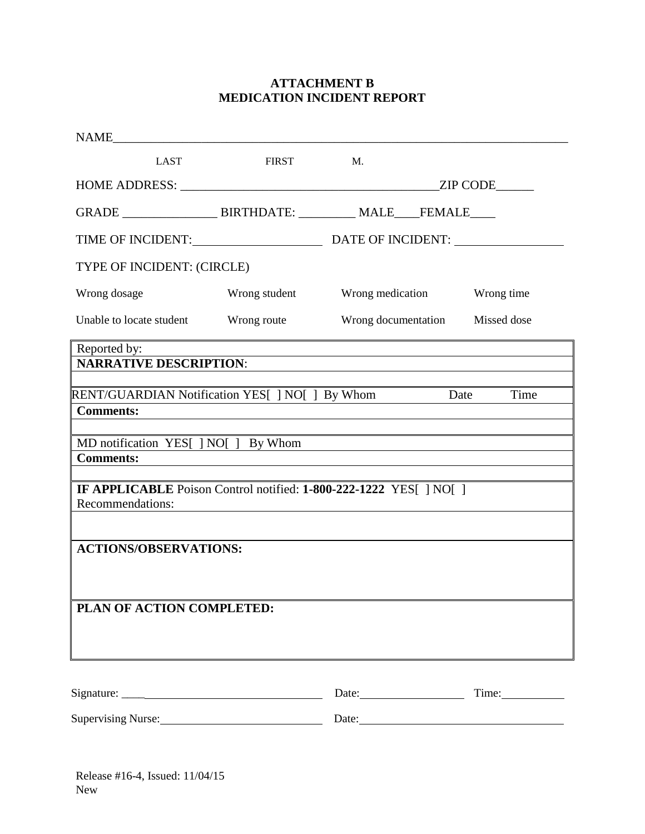### **ATTACHMENT B MEDICATION INCIDENT REPORT**

| LAST                                                                                                                                           | <b>FIRST</b>                                                                                                          | M.                                                                                                                   |      |
|------------------------------------------------------------------------------------------------------------------------------------------------|-----------------------------------------------------------------------------------------------------------------------|----------------------------------------------------------------------------------------------------------------------|------|
|                                                                                                                                                |                                                                                                                       |                                                                                                                      |      |
|                                                                                                                                                |                                                                                                                       |                                                                                                                      |      |
| TIME OF INCIDENT: DATE OF INCIDENT:                                                                                                            |                                                                                                                       |                                                                                                                      |      |
| TYPE OF INCIDENT: (CIRCLE)                                                                                                                     |                                                                                                                       |                                                                                                                      |      |
| Wrong dosage                                                                                                                                   |                                                                                                                       | Wrong student Wrong medication Wrong time                                                                            |      |
| Unable to locate student Wrong route Wrong documentation Missed dose                                                                           |                                                                                                                       |                                                                                                                      |      |
| <b>Comments:</b>                                                                                                                               |                                                                                                                       |                                                                                                                      | Time |
| MD notification YES[] NO[] By Whom<br><b>Comments:</b><br>IF APPLICABLE Poison Control notified: 1-800-222-1222 YES[] NO[]<br>Recommendations: |                                                                                                                       | <u> 1980 - Jan Barat, martin amerikan basar dan basa dan basa dan basa dan basa dan basa dan basa dan basa dan b</u> |      |
| RENT/GUARDIAN Notification YES[ ] NO[ ] By Whom Date<br><b>ACTIONS/OBSERVATIONS:</b>                                                           | <u> 1980 - Jan Samuel Barbara, martin da shekara tsara 1980 - Andrea Samuel Barbara, marka a shekara 1980 - Andre</u> |                                                                                                                      |      |
| PLAN OF ACTION COMPLETED:                                                                                                                      |                                                                                                                       |                                                                                                                      |      |
|                                                                                                                                                |                                                                                                                       |                                                                                                                      |      |